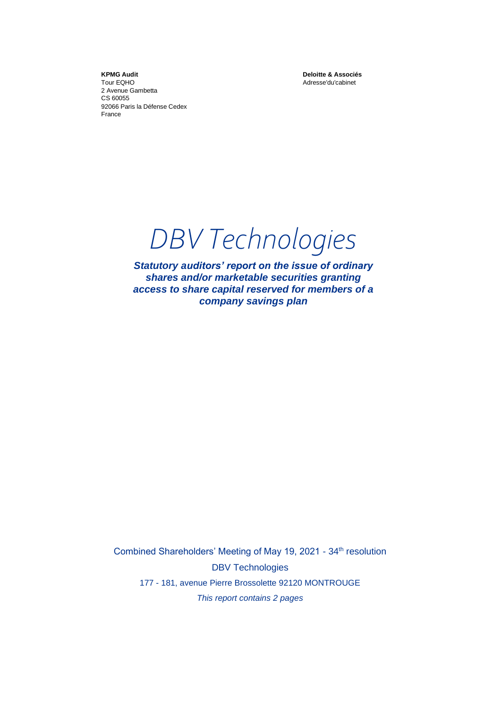**KPMG Audit** Tour EQHO 2 Avenue Gambetta CS 60055 92066 Paris la Défense Cedex France

**Deloitte & Associés** Adresse'du'cabinet

*DBV Technologies*

*Statutory auditors' report on the issue of ordinary shares and/or marketable securities granting access to share capital reserved for members of a company savings plan*

Combined Shareholders' Meeting of May 19, 2021 - 34<sup>th</sup> resolution DBV Technologies 177 - 181, avenue Pierre Brossolette 92120 MONTROUGE *This report contains 2 pages*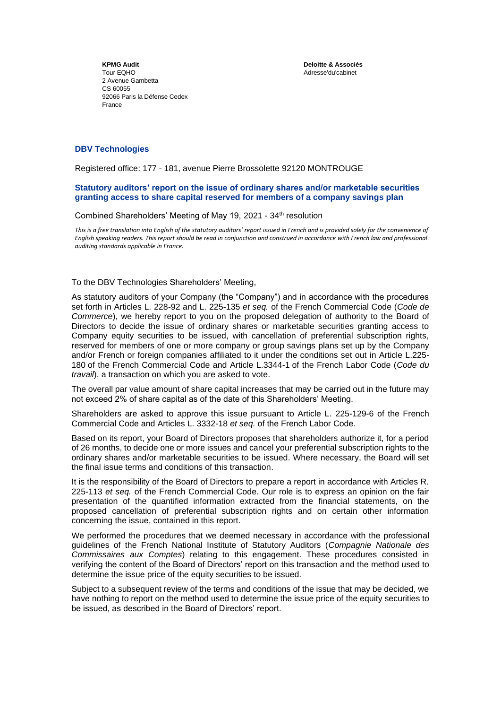**KPMG Audit** Tour EQHO 2 Avenue Gambetta CS 60055 92066 Paris la Défense Cedex France

**Deloitte & Associés** Adresse'du'cabinet

## **DBV Technologies**

Registered office: 177 - 181, avenue Pierre Brossolette 92120 MONTROUGE

## **Statutory auditors' report on the issue of ordinary shares and/or marketable securities granting access to share capital reserved for members of a company savings plan**

## Combined Shareholders' Meeting of May 19, 2021 - 34<sup>th</sup> resolution

*This is a free translation into English of the statutory auditors' report issued in French and is provided solely for the convenience of English speaking readers. This report should be read in conjunction and construed in accordance with French law and professional auditing standards applicable in France.*

## To the DBV Technologies Shareholders' Meeting,

As statutory auditors of your Company (the "Company") and in accordance with the procedures set forth in Articles L. 228-92 and L. 225-135 *et seq.* of the French Commercial Code (*Code de Commerce*), we hereby report to you on the proposed delegation of authority to the Board of Directors to decide the issue of ordinary shares or marketable securities granting access to Company equity securities to be issued, with cancellation of preferential subscription rights, reserved for members of one or more company or group savings plans set up by the Company and/or French or foreign companies affiliated to it under the conditions set out in Article L.225- 180 of the French Commercial Code and Article L.3344-1 of the French Labor Code (*Code du travail*), a transaction on which you are asked to vote.

The overall par value amount of share capital increases that may be carried out in the future may not exceed 2% of share capital as of the date of this Shareholders' Meeting.

Shareholders are asked to approve this issue pursuant to Article L. 225-129-6 of the French Commercial Code and Articles L. 3332-18 *et seq.* of the French Labor Code.

Based on its report, your Board of Directors proposes that shareholders authorize it, for a period of 26 months, to decide one or more issues and cancel your preferential subscription rights to the ordinary shares and/or marketable securities to be issued. Where necessary, the Board will set the final issue terms and conditions of this transaction.

It is the responsibility of the Board of Directors to prepare a report in accordance with Articles R. 225-113 *et seq.* of the French Commercial Code. Our role is to express an opinion on the fair presentation of the quantified information extracted from the financial statements, on the proposed cancellation of preferential subscription rights and on certain other information concerning the issue, contained in this report.

We performed the procedures that we deemed necessary in accordance with the professional guidelines of the French National Institute of Statutory Auditors (*Compagnie Nationale des Commissaires aux Comptes*) relating to this engagement. These procedures consisted in verifying the content of the Board of Directors' report on this transaction and the method used to determine the issue price of the equity securities to be issued.

Subject to a subsequent review of the terms and conditions of the issue that may be decided, we have nothing to report on the method used to determine the issue price of the equity securities to be issued, as described in the Board of Directors' report.